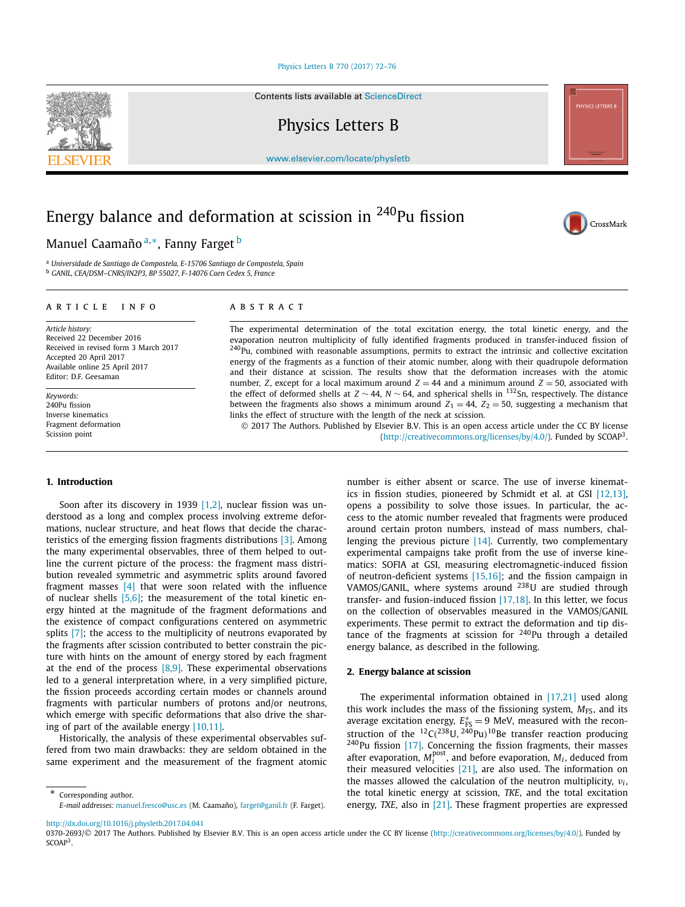#### [Physics Letters B 770 \(2017\) 72–76](http://dx.doi.org/10.1016/j.physletb.2017.04.041)

Contents lists available at [ScienceDirect](http://www.ScienceDirect.com/)

Physics Letters B

[www.elsevier.com/locate/physletb](http://www.elsevier.com/locate/physletb)

# Energy balance and deformation at scission in 240Pu fission

## Manuel Caamaño <sup>a</sup>*,*∗, Fanny Farget <sup>b</sup>

<sup>a</sup> *Universidade de Santiago de Compostela, E-15706 Santiago de Compostela, Spain* <sup>b</sup> *GANIL, CEA/DSM–CNRS/IN2P3, BP 55027, F-14076 Caen Cedex 5, France*

#### A R T I C L E I N F O A B S T R A C T

*Article history:* Received 22 December 2016 Received in revised form 3 March 2017 Accepted 20 April 2017 Available online 25 April 2017 Editor: D.F. Geesaman

*Keywords:* 240Pu fission Inverse kinematics Fragment deformation Scission point

The experimental determination of the total excitation energy, the total kinetic energy, and the evaporation neutron multiplicity of fully identified fragments produced in transfer-induced fission of  $240$ Pu, combined with reasonable assumptions, permits to extract the intrinsic and collective excitation energy of the fragments as a function of their atomic number, along with their quadrupole deformation and their distance at scission. The results show that the deformation increases with the atomic number, *Z*, except for a local maximum around  $Z = 44$  and a minimum around  $Z = 50$ , associated with the effect of deformed shells at *<sup>Z</sup>* ∼ 44, *<sup>N</sup>* ∼ 64, and spherical shells in 132Sn, respectively. The distance between the fragments also shows a minimum around  $Z_1 = 44$ ,  $Z_2 = 50$ , suggesting a mechanism that links the effect of structure with the length of the neck at scission.

© 2017 The Authors. Published by Elsevier B.V. This is an open access article under the CC BY license [\(http://creativecommons.org/licenses/by/4.0/\)](http://creativecommons.org/licenses/by/4.0/). Funded by SCOAP3.

#### **1. Introduction**

Soon after its discovery in 1939 [\[1,2\],](#page-3-0) nuclear fission was understood as a long and complex process involving extreme deformations, nuclear structure, and heat flows that decide the characteristics of the emerging fission fragments distributions [\[3\].](#page-3-0) Among the many experimental observables, three of them helped to outline the current picture of the process: the fragment mass distribution revealed symmetric and asymmetric splits around favored fragment masses [\[4\]](#page-3-0) that were soon related with the influence of nuclear shells [\[5,6\];](#page-3-0) the measurement of the total kinetic energy hinted at the magnitude of the fragment deformations and the existence of compact configurations centered on asymmetric splits [\[7\];](#page-3-0) the access to the multiplicity of neutrons evaporated by the fragments after scission contributed to better constrain the picture with hints on the amount of energy stored by each fragment at the end of the process  $[8,9]$ . These experimental observations led to a general interpretation where, in a very simplified picture, the fission proceeds according certain modes or channels around fragments with particular numbers of protons and/or neutrons, which emerge with specific deformations that also drive the sharing of part of the available energy [\[10,11\].](#page-3-0)

Historically, the analysis of these experimental observables suffered from two main drawbacks: they are seldom obtained in the same experiment and the measurement of the fragment atomic

\* Corresponding author. *E-mail addresses:* [manuel.fresco@usc.es](mailto:manuel.fresco@usc.es) (M. Caamaño), [farget@ganil.fr](mailto:farget@ganil.fr) (F. Farget).

<http://dx.doi.org/10.1016/j.physletb.2017.04.041>

0370-2693/© 2017 The Authors. Published by Elsevier B.V. This is an open access article under the CC BY license [\(http://creativecommons.org/licenses/by/4.0/\)](http://creativecommons.org/licenses/by/4.0/). Funded by SCOAP<sup>3</sup>.



#### **2. Energy balance at scission**

The experimental information obtained in [\[17,21\]](#page-4-0) used along this work includes the mass of the fissioning system,  $M_{FS}$ , and its average excitation energy,  $E_{FS}^* = 9$  MeV, measured with the reconstruction of the  ${}^{12}C(^{238}U, {}^{240}Pu)^{10}$ Be transfer reaction producing <sup>240</sup>Pu fission [\[17\].](#page-4-0) Concerning the fission fragments, their masses after evaporation,  $M_i^{\text{post}}$ , and before evaporation,  $M_i$ , deduced from their measured velocities [\[21\],](#page-4-0) are also used. The information on the masses allowed the calculation of the neutron multiplicity,  $v_i$ , the total kinetic energy at scission, *TKE*, and the total excitation energy, *TXE*, also in [\[21\].](#page-4-0) These fragment properties are expressed





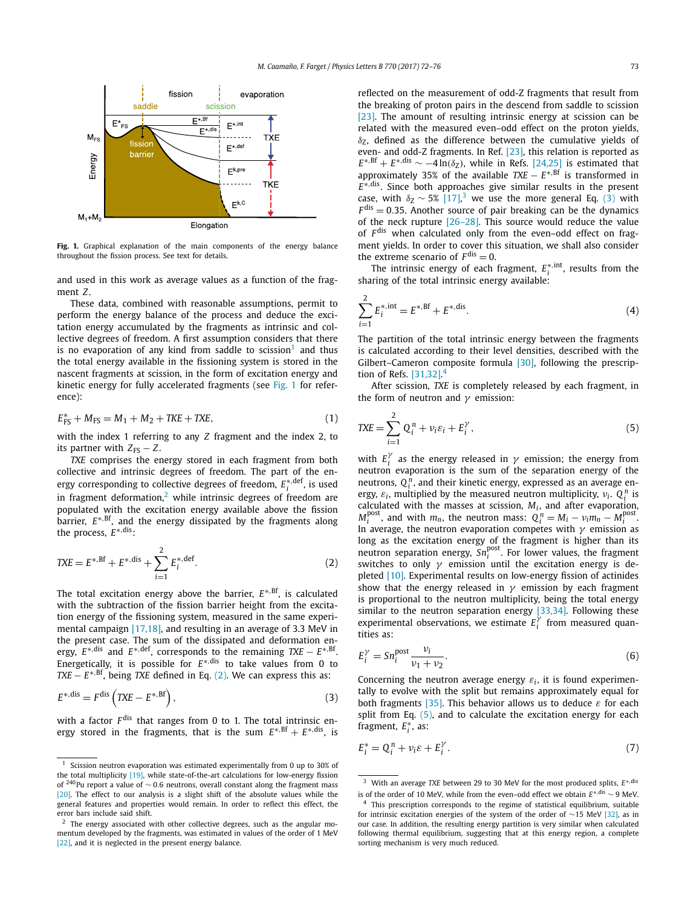<span id="page-1-0"></span>

Fig. 1. Graphical explanation of the main components of the energy balance throughout the fission process. See text for details.

and used in this work as average values as a function of the fragment *Z*.

These data, combined with reasonable assumptions, permit to perform the energy balance of the process and deduce the excitation energy accumulated by the fragments as intrinsic and collective degrees of freedom. A first assumption considers that there is no evaporation of any kind from saddle to scission<sup>1</sup> and thus the total energy available in the fissioning system is stored in the nascent fragments at scission, in the form of excitation energy and kinetic energy for fully accelerated fragments (see Fig. 1 for reference):

$$
E_{\text{FS}}^* + M_{\text{FS}} = M_1 + M_2 + \text{TKE} + \text{TXE},\tag{1}
$$

with the index 1 referring to any *Z* fragment and the index 2, to its partner with  $Z_{FS} - Z$ .

*TXE* comprises the energy stored in each fragment from both collective and intrinsic degrees of freedom. The part of the energy corresponding to collective degrees of freedom,  $E_i^{*,\mathrm{def}}$ , is used in fragment deformation,<sup>2</sup> while intrinsic degrees of freedom are populated with the excitation energy available above the fission barrier, *E*∗*,*Bf, and the energy dissipated by the fragments along the process, *E*∗*,*dis:

$$
TXE = E^{*,Bf} + E^{*,dis} + \sum_{i=1}^{2} E_i^{*,def}.
$$
 (2)

The total excitation energy above the barrier,  $E^{*,Bf}$ , is calculated with the subtraction of the fission barrier height from the excitation energy of the fissioning system, measured in the same experimental campaign [\[17,18\],](#page-4-0) and resulting in an average of 3.3 MeV in the present case. The sum of the dissipated and deformation energy,  $E^{*,dis}$  and  $E^{*,def}$ , corresponds to the remaining  $TXE - E^{*,Bf}$ . Energetically, it is possible for *E*∗*,*dis to take values from 0 to *TXE* −  $E^{*,Bf}$ , being *TXE* defined in Eq. (2). We can express this as:

$$
E^{*,\text{dis}} = F^{\text{dis}}\left(TXE - E^{*,\text{Bf}}\right),\tag{3}
$$

with a factor  $F$ <sup>dis</sup> that ranges from 0 to 1. The total intrinsic energy stored in the fragments, that is the sum  $E^{*,Bf} + E^{*,dis}$ , is reflected on the measurement of odd-Z fragments that result from the breaking of proton pairs in the descend from saddle to scission [\[23\].](#page-4-0) The amount of resulting intrinsic energy at scission can be related with the measured even–odd effect on the proton yields,  $δ$ <sub>Z</sub>, defined as the difference between the cumulative yields of even- and odd-Z fragments. In Ref. [\[23\],](#page-4-0) this relation is reported as  $E^{*,Bf} + E^{*,dis} \sim -4 \ln(\delta_Z)$ , while in Refs. [\[24,25\]](#page-4-0) is estimated that  $\frac{1}{2}$  approximately 35% of the available *TXE* −  $E^{*, Bf}$  is transformed in *E*∗*,*dis. Since both approaches give similar results in the present case, with  $\delta$ <sub>Z</sub> ~ 5% [\[17\],](#page-4-0)<sup>3</sup> we use the more general Eq. (3) with  $F<sup>dis</sup> = 0.35$ . Another source of pair breaking can be the dynamics of the neck rupture  $[26-28]$ . This source would reduce the value of F<sup>dis</sup> when calculated only from the even-odd effect on fragment yields. In order to cover this situation, we shall also consider the extreme scenario of  $F<sup>dis</sup> = 0$ .

The intrinsic energy of each fragment,  $E_i^{*,int}$ , results from the sharing of the total intrinsic energy available:

$$
\sum_{i=1}^{2} E_i^{*, \text{int}} = E^{*, \text{Bf}} + E^{*, \text{dis}}.
$$
 (4)

The partition of the total intrinsic energy between the fragments is calculated according to their level densities, described with the Gilbert–Cameron composite formula [\[30\],](#page-4-0) following the prescription of Refs.  $[31,32]$ .<sup>4</sup>

After scission, *TXE* is completely released by each fragment, in the form of neutron and *γ* emission:

$$
TXE = \sum_{i=1}^{2} Q_i^n + \nu_i \varepsilon_i + E_i^{\gamma}, \qquad (5)
$$

with  $E_i^{\gamma}$  as the energy released in  $\gamma$  emission; the energy from neutron evaporation is the sum of the separation energy of the neutrons,  $Q_i^n$ , and their kinetic energy, expressed as an average energy,  $\varepsilon_i$ , multiplied by the measured neutron multiplicity,  $v_i$ .  $Q_i^n$  is calculated with the masses at scission,  $M_i$ , and after evaporation,  $M_i^{\text{post}}$ , and with  $m_n$ , the neutron mass:  $Q_i^n = M_i - v_i m_n - M_i^{\text{post}}$ . In average, the neutron evaporation competes with *γ* emission as long as the excitation energy of the fragment is higher than its neutron separation energy,  $Sn_i^{post}$ . For lower values, the fragment switches to only *γ* emission until the excitation energy is depleted [\[10\].](#page-3-0) Experimental results on low-energy fission of actinides show that the energy released in *γ* emission by each fragment is proportional to the neutron multiplicity, being the total energy similar to the neutron separation energy [\[33,34\].](#page-4-0) Following these experimental observations, we estimate  $E_i^{\gamma}$  from measured quantities as:

$$
E_i^{\gamma} = Sn_i^{\text{post}} \frac{\nu_i}{\nu_1 + \nu_2}.
$$
 (6)

Concerning the neutron average energy  $\varepsilon_i$ , it is found experimentally to evolve with the split but remains approximately equal for both fragments [\[35\].](#page-4-0) This behavior allows us to deduce *ε* for each split from Eq.  $(5)$ , and to calculate the excitation energy for each fragment, *E*∗ *<sup>i</sup>* , as:

$$
E_i^* = Q_i^n + \nu_i \varepsilon + E_i^\gamma. \tag{7}
$$

 $1$  Scission neutron evaporation was estimated experimentally from 0 up to 30% of the total multiplicity [\[19\],](#page-4-0) while state-of-the-art calculations for low-energy fission of 240Pu report <sup>a</sup> value of ∼ <sup>0</sup>*.*6 neutrons, overall constant along the fragment mass [\[20\].](#page-4-0) The effect to our analysis is a slight shift of the absolute values while the general features and properties would remain. In order to reflect this effect, the error bars include said shift.

 $2$  The energy associated with other collective degrees, such as the angular momentum developed by the fragments, was estimated in values of the order of 1 MeV [\[22\],](#page-4-0) and it is neglected in the present energy balance.

<sup>3</sup> With an average *TXE* between 29 to 30 MeV for the most produced splits, *E*∗*,*dis is of the order of <sup>10</sup> MeV, while from the even–odd effect we obtain *<sup>E</sup>*∗*,*dis <sup>∼</sup> 9 MeV.

<sup>&</sup>lt;sup>4</sup> This prescription corresponds to the regime of statistical equilibrium, suitable for intrinsic excitation energies of the system of the order of ∼15 MeV [\[32\],](#page-4-0) as in our case. In addition, the resulting energy partition is very similar when calculated following thermal equilibrium, suggesting that at this energy region, a complete sorting mechanism is very much reduced.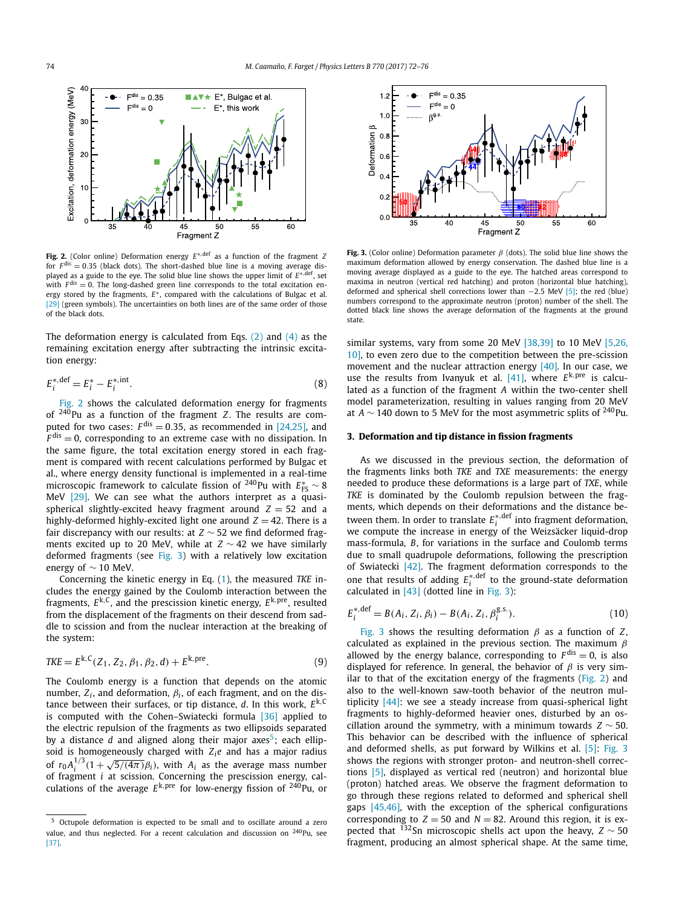<span id="page-2-0"></span>

**Fig. 2.** (Color online) Deformation energy *E*∗*,*def as a function of the fragment *Z* for  $F<sup>dis</sup> = 0.35$  (black dots). The short-dashed blue line is a moving average displayed as a guide to the eye. The solid blue line shows the upper limit of *E*∗*,*def, set with  $F<sup>dis</sup> = 0$ . The long-dashed green line corresponds to the total excitation energy stored by the fragments, *E*∗, compared with the calculations of Bulgac et al. [\[29\]](#page-4-0) (green symbols). The uncertainties on both lines are of the same order of those of the black dots.

The deformation energy is calculated from Eqs.  $(2)$  and  $(4)$  as the remaining excitation energy after subtracting the intrinsic excitation energy:

$$
E_i^* \cdot \text{def} = E_i^* - E_i^* \cdot \text{int} \,. \tag{8}
$$

Fig. 2 shows the calculated deformation energy for fragments of 240Pu as a function of the fragment *Z*. The results are computed for two cases:  $F^{\text{dis}} = 0.35$ , as recommended in [\[24,25\],](#page-4-0) and  $F^{\text{dis}} = 0$ , corresponding to an extreme case with no dissipation. In the same figure, the total excitation energy stored in each fragment is compared with recent calculations performed by Bulgac et al., where energy density functional is implemented in a real-time microscopic framework to calculate fission of <sup>240</sup>Pu with  $E_{\text{FS}}^* \sim 8$ MeV [\[29\].](#page-4-0) We can see what the authors interpret as a quasispherical slightly-excited heavy fragment around  $Z = 52$  and a highly-deformed highly-excited light one around  $Z = 42$ . There is a fair discrepancy with our results: at *Z* ∼ 52 we find deformed fragments excited up to 20 MeV, while at *Z* ∼ 42 we have similarly deformed fragments (see Fig. 3) with a relatively low excitation energy of  $\sim$  10 MeV.

Concerning the kinetic energy in Eq. [\(1\)](#page-1-0), the measured *TKE* includes the energy gained by the Coulomb interaction between the fragments, *E*k*,*C, and the prescission kinetic energy, *E*k*,*pre, resulted from the displacement of the fragments on their descend from saddle to scission and from the nuclear interaction at the breaking of the system:

$$
TKE = E^{k,C}(Z_1, Z_2, \beta_1, \beta_2, d) + E^{k, pre}.
$$
\n(9)

The Coulomb energy is a function that depends on the atomic number,  $Z_i$ , and deformation,  $β_i$ , of each fragment, and on the distance between their surfaces, or tip distance, *d*. In this work, *E*k*,*<sup>C</sup> is computed with the Cohen–Swiatecki formula [\[36\]](#page-4-0) applied to the electric repulsion of the fragments as two ellipsoids separated by a distance *d* and aligned along their major axes<sup>5</sup>; each ellipsoid is homogeneously charged with *Zie* and has a major radius of  $r_0 A_i^{1/3} (1 + \sqrt{5/(4\pi)} \beta_i)$ , with  $A_i$  as the average mass number of fragment *i* at scission. Concerning the prescission energy, calculations of the average  $E^{k,pre}$  for low-energy fission of <sup>240</sup>Pu, or



**Fig. 3.** (Color online) Deformation parameter *β* (dots). The solid blue line shows the maximum deformation allowed by energy conservation. The dashed blue line is a moving average displayed as a guide to the eye. The hatched areas correspond to maxima in neutron (vertical red hatching) and proton (horizontal blue hatching), deformed and spherical shell corrections lower than −2*.*5 MeV [\[5\];](#page-3-0) the red (blue) numbers correspond to the approximate neutron (proton) number of the shell. The dotted black line shows the average deformation of the fragments at the ground state.

similar systems, vary from some 20 MeV [\[38,39\]](#page-4-0) to 10 MeV [\[5,26,](#page-3-0) [10\],](#page-3-0) to even zero due to the competition between the pre-scission movement and the nuclear attraction energy [\[40\].](#page-4-0) In our case, we use the results from Ivanyuk et al. [\[41\],](#page-4-0) where *E*k*,*pre is calculated as a function of the fragment *A* within the two-center shell model parameterization, resulting in values ranging from 20 MeV at *A*  $\sim$  140 down to 5 MeV for the most asymmetric splits of <sup>240</sup>Pu.

### **3. Deformation and tip distance in fission fragments**

As we discussed in the previous section, the deformation of the fragments links both *TKE* and *TXE* measurements: the energy needed to produce these deformations is a large part of *TXE*, while *TKE* is dominated by the Coulomb repulsion between the fragments, which depends on their deformations and the distance between them. In order to translate  $E_i^*$ , def into fragment deformation, we compute the increase in energy of the Weizsäcker liquid-drop mass-formula, *B*, for variations in the surface and Coulomb terms due to small quadrupole deformations, following the prescription of Swiatecki [\[42\].](#page-4-0) The fragment deformation corresponds to the one that results of adding  $E_i^{*,\text{def}}$  to the ground-state deformation calculated in  $[43]$  (dotted line in Fig. 3):

$$
E_i^{*,\text{def}} = B(A_i, Z_i, \beta_i) - B(A_i, Z_i, \beta_i^{g.s.}).
$$
\n(10)

Fig. 3 shows the resulting deformation *β* as a function of *Z*, calculated as explained in the previous section. The maximum *β* allowed by the energy balance, corresponding to  $F<sup>dis</sup> = 0$ , is also displayed for reference. In general, the behavior of *β* is very similar to that of the excitation energy of the fragments (Fig. 2) and also to the well-known saw-tooth behavior of the neutron multiplicity [\[44\]:](#page-4-0) we see a steady increase from quasi-spherical light fragments to highly-deformed heavier ones, disturbed by an oscillation around the symmetry, with a minimum towards *Z* ∼ 50. This behavior can be described with the influence of spherical and deformed shells, as put forward by Wilkins et al. [\[5\]:](#page-3-0) Fig. 3 shows the regions with stronger proton- and neutron-shell corrections [\[5\],](#page-3-0) displayed as vertical red (neutron) and horizontal blue (proton) hatched areas. We observe the fragment deformation to go through these regions related to deformed and spherical shell gaps [\[45,46\],](#page-4-0) with the exception of the spherical configurations corresponding to  $Z = 50$  and  $N = 82$ . Around this region, it is expected that 132Sn microscopic shells act upon the heavy, *<sup>Z</sup>* ∼ <sup>50</sup> fragment, producing an almost spherical shape. At the same time,

<sup>5</sup> Octupole deformation is expected to be small and to oscillate around a zero value, and thus neglected. For a recent calculation and discussion on <sup>240</sup>Pu, see [\[37\].](#page-4-0)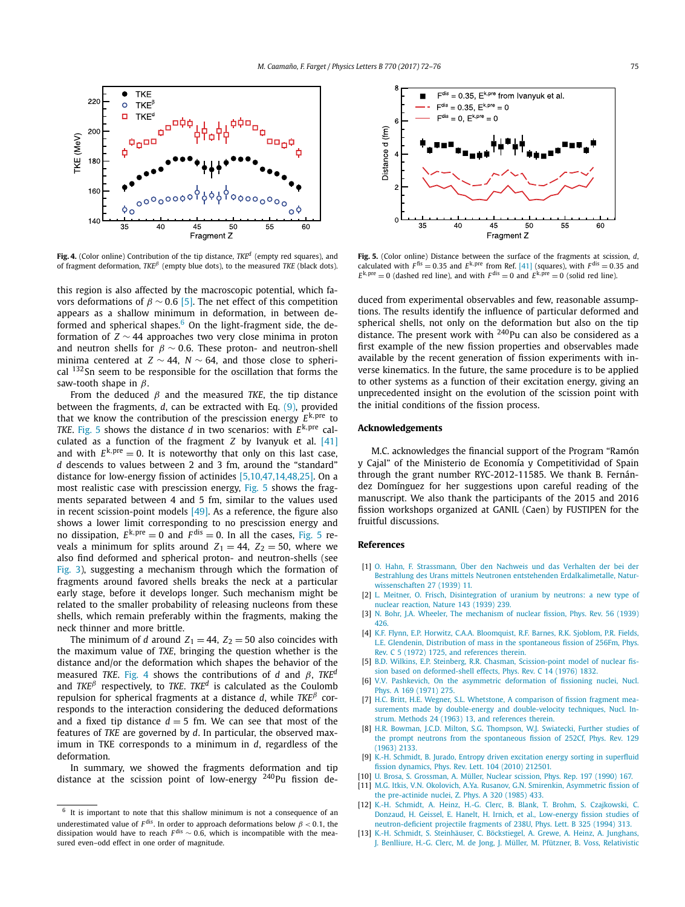<span id="page-3-0"></span>

**Fig. 4.** (Color online) Contribution of the tip distance, *TKEd* (empty red squares), and of fragment deformation, *TKE<sup>β</sup>* (empty blue dots), to the measured *TKE* (black dots).

this region is also affected by the macroscopic potential, which favors deformations of  $\beta \sim 0.6$  [5]. The net effect of this competition appears as a shallow minimum in deformation, in between deformed and spherical shapes. $6$  On the light-fragment side, the deformation of *Z* ∼ 44 approaches two very close minima in proton and neutron shells for  $\beta \sim 0.6$ . These proton- and neutron-shell minima centered at *Z* ∼ 44, *N* ∼ 64, and those close to spherical <sup>132</sup>Sn seem to be responsible for the oscillation that forms the saw-tooth shape in *β*.

From the deduced *β* and the measured *TKE*, the tip distance between the fragments, *d*, can be extracted with Eq. [\(9\),](#page-2-0) provided that we know the contribution of the prescission energy  $E^{k,pre}$  to *TKE*. Fig. 5 shows the distance *d* in two scenarios: with *E*k*,*pre calculated as a function of the fragment *Z* by Ivanyuk et al. [\[41\]](#page-4-0) and with  $E^{k,pre} = 0$ . It is noteworthy that only on this last case, *d* descends to values between 2 and 3 fm, around the "standard" distance for low-energy fission of actinides [5,10,47,14,48,25]. On a most realistic case with prescission energy, Fig. 5 shows the fragments separated between 4 and 5 fm, similar to the values used in recent scission-point models  $[49]$ . As a reference, the figure also shows a lower limit corresponding to no prescission energy and no dissipation,  $E^{k,pre} = 0$  and  $F^{dis} = 0$ . In all the cases, Fig. 5 reveals a minimum for splits around  $Z_1 = 44$ ,  $Z_2 = 50$ , where we also find deformed and spherical proton- and neutron-shells (see [Fig. 3\)](#page-2-0), suggesting a mechanism through which the formation of fragments around favored shells breaks the neck at a particular early stage, before it develops longer. Such mechanism might be related to the smaller probability of releasing nucleons from these shells, which remain preferably within the fragments, making the neck thinner and more brittle.

The minimum of *d* around  $Z_1 = 44$ ,  $Z_2 = 50$  also coincides with the maximum value of *TXE*, bringing the question whether is the distance and/or the deformation which shapes the behavior of the measured *TKE*. Fig. 4 shows the contributions of *d* and *β*, *TKEd* and *TKE<sup>β</sup>* respectively, to *TKE*. *TKEd* is calculated as the Coulomb repulsion for spherical fragments at a distance *d*, while *TKE<sup>β</sup>* corresponds to the interaction considering the deduced deformations and a fixed tip distance  $d = 5$  fm. We can see that most of the features of *TKE* are governed by *d*. In particular, the observed maximum in TKE corresponds to a minimum in *d*, regardless of the deformation.

In summary, we showed the fragments deformation and tip distance at the scission point of low-energy  $240$ Pu fission de-



**Fig. 5.** (Color online) Distance between the surface of the fragments at scission, *d*, calculated with  $F^{\text{fis}} = 0.35$  and  $E^{\text{k,pre}}$  from Ref. [\[41\]](#page-4-0) (squares), with  $F^{\text{dis}} = 0.35$  and  $E^{k,pre} = 0$  (dashed red line), and with  $F^{dis} = 0$  and  $E^{k,pre} = 0$  (solid red line).

duced from experimental observables and few, reasonable assumptions. The results identify the influence of particular deformed and spherical shells, not only on the deformation but also on the tip distance. The present work with  $240$ Pu can also be considered as a first example of the new fission properties and observables made available by the recent generation of fission experiments with inverse kinematics. In the future, the same procedure is to be applied to other systems as a function of their excitation energy, giving an unprecedented insight on the evolution of the scission point with the initial conditions of the fission process.

#### **Acknowledgements**

M.C. acknowledges the financial support of the Program "Ramón y Cajal" of the Ministerio de Economía y Competitividad of Spain through the grant number RYC-2012-11585. We thank B. Fernández Domínguez for her suggestions upon careful reading of the manuscript. We also thank the participants of the 2015 and 2016 fission workshops organized at GANIL (Caen) by FUSTIPEN for the fruitful discussions.

#### **References**

- [1] O. Hahn, F. [Strassmann,](http://refhub.elsevier.com/S0370-2693(17)30315-5/bib4861686Es1) Über den Nachweis und das Verhalten der bei der Bestrahlung des Urans mittels Neutronen entstehenden [Erdalkalimetalle,](http://refhub.elsevier.com/S0370-2693(17)30315-5/bib4861686Es1) Natur[wissenschaften](http://refhub.elsevier.com/S0370-2693(17)30315-5/bib4861686Es1) 27 (1939) 11.
- [2] L. Meitner, O. Frisch, [Disintegration](http://refhub.elsevier.com/S0370-2693(17)30315-5/bib4D6569746E6572s1) of uranium by neutrons: a new type of nuclear [reaction,](http://refhub.elsevier.com/S0370-2693(17)30315-5/bib4D6569746E6572s1) Nature 143 (1939) 239.
- [3] N. Bohr, J.A. Wheeler, The [mechanism](http://refhub.elsevier.com/S0370-2693(17)30315-5/bib426F6872s1) of nuclear fission, Phys. Rev. 56 (1939) [426.](http://refhub.elsevier.com/S0370-2693(17)30315-5/bib426F6872s1)
- [4] K.F. Flynn, E.P. Horwitz, C.A.A. [Bloomquist,](http://refhub.elsevier.com/S0370-2693(17)30315-5/bib466C796E6Es1) R.F. Barnes, R.K. Sjoblom, P.R. Fields, L.E. Glendenin, Distribution of mass in the [spontaneous](http://refhub.elsevier.com/S0370-2693(17)30315-5/bib466C796E6Es1) fission of 256Fm, Phys. Rev. C 5 (1972) 1725, and [references](http://refhub.elsevier.com/S0370-2693(17)30315-5/bib466C796E6Es1) therein.
- [5] B.D. Wilkins, E.P. Steinberg, R.R. Chasman, [Scission-point](http://refhub.elsevier.com/S0370-2693(17)30315-5/bib57696C6B696E73s1) model of nuclear fission based on [deformed-shell](http://refhub.elsevier.com/S0370-2693(17)30315-5/bib57696C6B696E73s1) effects, Phys. Rev. C 14 (1976) 1832.
- [6] V.V. Pashkevich, On the asymmetric [deformation](http://refhub.elsevier.com/S0370-2693(17)30315-5/bib506173686B6576696368s1) of fissioning nuclei, Nucl. Phys. A 169 [\(1971\)](http://refhub.elsevier.com/S0370-2693(17)30315-5/bib506173686B6576696368s1) 275.
- [7] H.C. Britt, H.E. Wegner, S.L. Whetstone, A [comparison](http://refhub.elsevier.com/S0370-2693(17)30315-5/bib4272697474s1) of fission fragment measurements made by double-energy and [double-velocity](http://refhub.elsevier.com/S0370-2693(17)30315-5/bib4272697474s1) techniques, Nucl. Instrum. Methods 24 (1963) 13, and [references](http://refhub.elsevier.com/S0370-2693(17)30315-5/bib4272697474s1) therein.
- [8] H.R. Bowman, J.C.D. Milton, S.G. [Thompson,](http://refhub.elsevier.com/S0370-2693(17)30315-5/bib426F776D616Es1) W.J. Swiatecki, Further studies of the prompt neutrons from the [spontaneous](http://refhub.elsevier.com/S0370-2693(17)30315-5/bib426F776D616Es1) fission of 252Cf, Phys. Rev. 129 [\(1963\)](http://refhub.elsevier.com/S0370-2693(17)30315-5/bib426F776D616Es1) 2133.
- [9] K.-H. Schmidt, B. Jurado, Entropy driven excitation energy sorting in [superfluid](http://refhub.elsevier.com/S0370-2693(17)30315-5/bib4B4833s1) fission [dynamics,](http://refhub.elsevier.com/S0370-2693(17)30315-5/bib4B4833s1) Phys. Rev. Lett. 104 (2010) 212501.
- [10] U. Brosa, S. [Grossman,](http://refhub.elsevier.com/S0370-2693(17)30315-5/bib42726F7361s1) A. Müller, Nuclear scission, Phys. Rep. 197 (1990) 167.
- [11] M.G. Itkis, V.N. Okolovich, A.Ya. Rusanov, G.N. Smirenkin, [Asymmetric](http://refhub.elsevier.com/S0370-2693(17)30315-5/bib49746B6973s1) fission of the [pre-actinide](http://refhub.elsevier.com/S0370-2693(17)30315-5/bib49746B6973s1) nuclei, Z. Phys. A 320 (1985) 433.
- [12] K.-H. Schmidt, A. Heinz, H.-G. Clerc, B. Blank, T. Brohm, S. [Czajkowski,](http://refhub.elsevier.com/S0370-2693(17)30315-5/bib4B4831s1) C. Donzaud, H. Geissel, E. Hanelt, H. Irnich, et al., [Low-energy](http://refhub.elsevier.com/S0370-2693(17)30315-5/bib4B4831s1) fission studies of [neutron-deficient](http://refhub.elsevier.com/S0370-2693(17)30315-5/bib4B4831s1) projectile fragments of 238U, Phys. Lett. B 325 (1994) 313.
- [13] K.-H. Schmidt, S. [Steinhäuser,](http://refhub.elsevier.com/S0370-2693(17)30315-5/bib4B4832s1) C. Böckstiegel, A. Grewe, A. Heinz, A. Junghans, J. Benlliure, H.-G. Clerc, M. de Jong, J. Müller, M. Pfützner, B. Voss, [Relativistic](http://refhub.elsevier.com/S0370-2693(17)30315-5/bib4B4832s1)

 $6$  It is important to note that this shallow minimum is not a consequence of an underestimated value of  $F^{\text{dis}}$ . In order to approach deformations below  $\beta$  < 0.1, the dissipation would have to reach *<sup>F</sup>* dis ∼ <sup>0</sup>*.*6, which is incompatible with the measured even–odd effect in one order of magnitude.